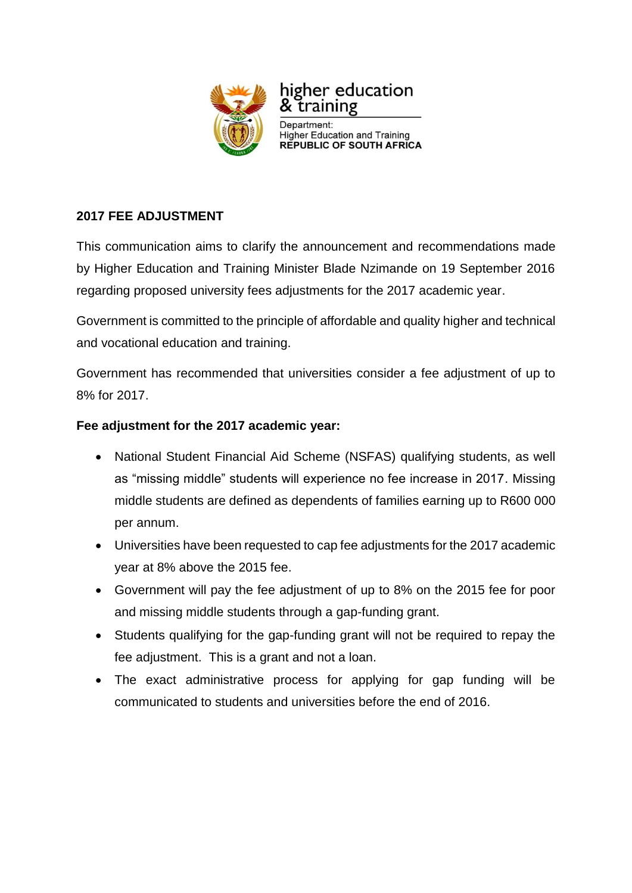

higher education training

Department: **Higher Education and Training<br>REPUBLIC OF SOUTH AFRICA** 

# **2017 FEE ADJUSTMENT**

This communication aims to clarify the announcement and recommendations made by Higher Education and Training Minister Blade Nzimande on 19 September 2016 regarding proposed university fees adjustments for the 2017 academic year.

Government is committed to the principle of affordable and quality higher and technical and vocational education and training.

Government has recommended that universities consider a fee adjustment of up to 8% for 2017.

# **Fee adjustment for the 2017 academic year:**

- National Student Financial Aid Scheme (NSFAS) qualifying students, as well as "missing middle" students will experience no fee increase in 2017. Missing middle students are defined as dependents of families earning up to R600 000 per annum.
- Universities have been requested to cap fee adjustments for the 2017 academic year at 8% above the 2015 fee.
- Government will pay the fee adjustment of up to 8% on the 2015 fee for poor and missing middle students through a gap-funding grant.
- Students qualifying for the gap-funding grant will not be required to repay the fee adjustment. This is a grant and not a loan.
- The exact administrative process for applying for gap funding will be communicated to students and universities before the end of 2016.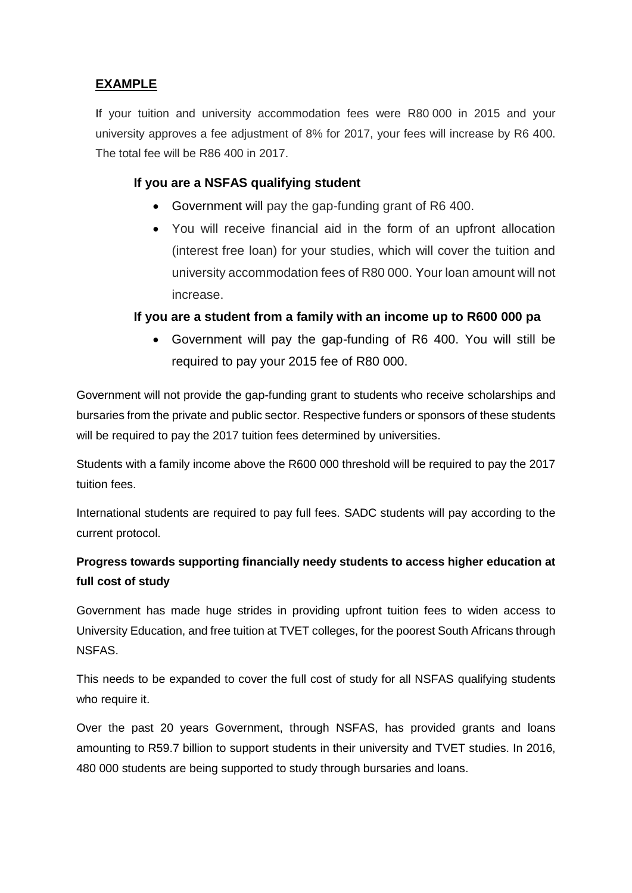## **EXAMPLE**

If your tuition and university accommodation fees were R80 000 in 2015 and your university approves a fee adjustment of 8% for 2017, your fees will increase by R6 400. The total fee will be R86 400 in 2017.

## **If you are a NSFAS qualifying student**

- Government will pay the gap-funding grant of R6 400.
- You will receive financial aid in the form of an upfront allocation (interest free loan) for your studies, which will cover the tuition and university accommodation fees of R80 000. Your loan amount will not increase.

### **If you are a student from a family with an income up to R600 000 pa**

 Government will pay the gap-funding of R6 400. You will still be required to pay your 2015 fee of R80 000.

Government will not provide the gap-funding grant to students who receive scholarships and bursaries from the private and public sector. Respective funders or sponsors of these students will be required to pay the 2017 tuition fees determined by universities.

Students with a family income above the R600 000 threshold will be required to pay the 2017 tuition fees.

International students are required to pay full fees. SADC students will pay according to the current protocol.

# **Progress towards supporting financially needy students to access higher education at full cost of study**

Government has made huge strides in providing upfront tuition fees to widen access to University Education, and free tuition at TVET colleges, for the poorest South Africans through NSFAS.

This needs to be expanded to cover the full cost of study for all NSFAS qualifying students who require it.

Over the past 20 years Government, through NSFAS, has provided grants and loans amounting to R59.7 billion to support students in their university and TVET studies. In 2016, 480 000 students are being supported to study through bursaries and loans.